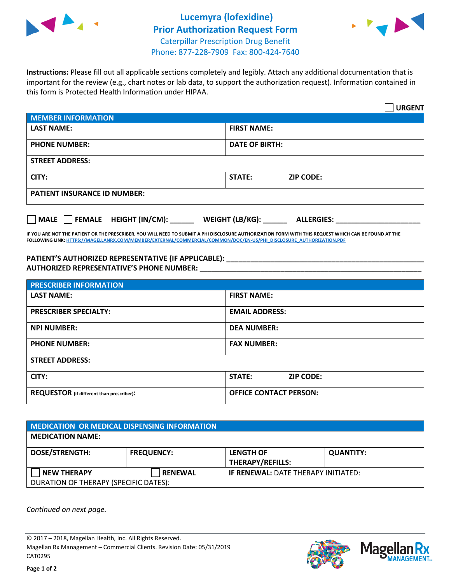



**Instructions:** Please fill out all applicable sections completely and legibly. Attach any additional documentation that is important for the review (e.g., chart notes or lab data, to support the authorization request). Information contained in this form is Protected Health Information under HIPAA.

|                                           | <b>URGENT</b>                        |  |
|-------------------------------------------|--------------------------------------|--|
| <b>MEMBER INFORMATION</b>                 |                                      |  |
| <b>LAST NAME:</b>                         | <b>FIRST NAME:</b>                   |  |
| <b>PHONE NUMBER:</b>                      | <b>DATE OF BIRTH:</b>                |  |
| <b>STREET ADDRESS:</b>                    |                                      |  |
| CITY:                                     | <b>STATE:</b><br><b>ZIP CODE:</b>    |  |
| <b>PATIENT INSURANCE ID NUMBER:</b>       |                                      |  |
| $\Box$ FEMALE HEIGHT (IN/CM): _<br>  MALE | WEIGHT (LB/KG):<br><b>ALLERGIES:</b> |  |

**IF YOU ARE NOT THE PATIENT OR THE PRESCRIBER, YOU WILL NEED TO SUBMIT A PHI DISCLOSURE AUTHORIZATION FORM WITH THIS REQUEST WHICH CAN BE FOUND AT THE FOLLOWING LINK[: HTTPS://MAGELLANRX.COM/MEMBER/EXTERNAL/COMMERCIAL/COMMON/DOC/EN-US/PHI\\_DISCLOSURE\\_AUTHORIZATION.PDF](https://magellanrx.com/member/external/commercial/common/doc/en-us/PHI_Disclosure_Authorization.pdf)**

**PATIENT'S AUTHORIZED REPRESENTATIVE (IF APPLICABLE): \_\_\_\_\_\_\_\_\_\_\_\_\_\_\_\_\_\_\_\_\_\_\_\_\_\_\_\_\_\_\_\_\_\_\_\_\_\_\_\_\_\_\_\_\_\_\_\_\_ AUTHORIZED REPRESENTATIVE'S PHONE NUMBER:** \_\_\_\_\_\_\_\_\_\_\_\_\_\_\_\_\_\_\_\_\_\_\_\_\_\_\_\_\_\_\_\_\_\_\_\_\_\_\_\_\_\_\_\_\_\_\_\_\_\_\_\_\_\_\_

| <b>PRESCRIBER INFORMATION</b>             |                               |  |  |  |
|-------------------------------------------|-------------------------------|--|--|--|
| <b>LAST NAME:</b>                         | <b>FIRST NAME:</b>            |  |  |  |
| <b>PRESCRIBER SPECIALTY:</b>              | <b>EMAIL ADDRESS:</b>         |  |  |  |
| <b>NPI NUMBER:</b>                        | <b>DEA NUMBER:</b>            |  |  |  |
| <b>PHONE NUMBER:</b>                      | <b>FAX NUMBER:</b>            |  |  |  |
| <b>STREET ADDRESS:</b>                    |                               |  |  |  |
| CITY:                                     | STATE:<br><b>ZIP CODE:</b>    |  |  |  |
| REQUESTOR (if different than prescriber): | <b>OFFICE CONTACT PERSON:</b> |  |  |  |

| <b>MEDICATION OR MEDICAL DISPENSING INFORMATION</b> |                   |                                            |                  |  |
|-----------------------------------------------------|-------------------|--------------------------------------------|------------------|--|
| <b>MEDICATION NAME:</b>                             |                   |                                            |                  |  |
| <b>DOSE/STRENGTH:</b>                               | <b>FREQUENCY:</b> | <b>LENGTH OF</b>                           | <b>QUANTITY:</b> |  |
|                                                     |                   | <b>THERAPY/REFILLS:</b>                    |                  |  |
| <b>NEW THERAPY</b>                                  | <b>RENEWAL</b>    | <b>IF RENEWAL: DATE THERAPY INITIATED:</b> |                  |  |
| DURATION OF THERAPY (SPECIFIC DATES):               |                   |                                            |                  |  |

*Continued on next page.*

© 2017 – 2018, Magellan Health, Inc. All Rights Reserved. Magellan Rx Management – Commercial Clients. Revision Date: 05/31/2019 CAT0295